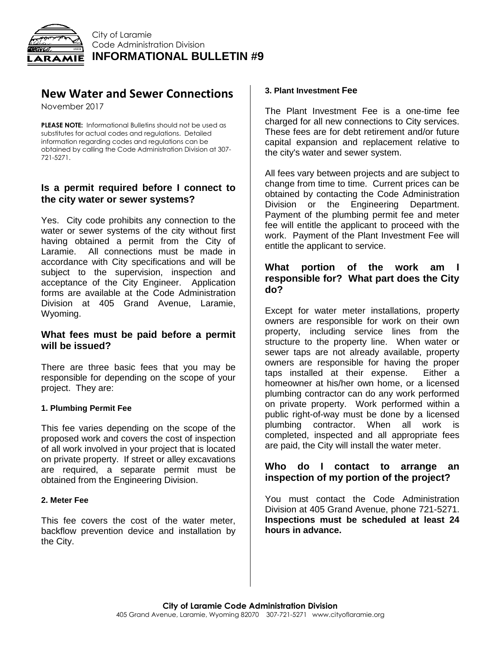

# **New Water and Sewer Connections**

November 2017

**PLEASE NOTE:** Informational Bulletins should not be used as substitutes for actual codes and regulations. Detailed information regarding codes and regulations can be obtained by calling the Code Administration Division at 307- 721-5271.

## **Is a permit required before I connect to the city water or sewer systems?**

Yes. City code prohibits any connection to the water or sewer systems of the city without first having obtained a permit from the City of Laramie. All connections must be made in accordance with City specifications and will be subject to the supervision, inspection and acceptance of the City Engineer. Application forms are available at the Code Administration Division at 405 Grand Avenue, Laramie, Wyoming.

## **What fees must be paid before a permit will be issued?**

There are three basic fees that you may be responsible for depending on the scope of your project. They are:

#### **1. Plumbing Permit Fee**

This fee varies depending on the scope of the proposed work and covers the cost of inspection of all work involved in your project that is located on private property. If street or alley excavations are required, a separate permit must be obtained from the Engineering Division.

#### **2. Meter Fee**

This fee covers the cost of the water meter, backflow prevention device and installation by the City.

#### **3. Plant Investment Fee**

The Plant Investment Fee is a one-time fee charged for all new connections to City services. These fees are for debt retirement and/or future capital expansion and replacement relative to the city's water and sewer system.

All fees vary between projects and are subject to change from time to time. Current prices can be obtained by contacting the Code Administration Division or the Engineering Department. Payment of the plumbing permit fee and meter fee will entitle the applicant to proceed with the work. Payment of the Plant Investment Fee will entitle the applicant to service.

## **What portion of the work am I responsible for? What part does the City do?**

Except for water meter installations, property owners are responsible for work on their own property, including service lines from the structure to the property line. When water or sewer taps are not already available, property owners are responsible for having the proper taps installed at their expense. Either a homeowner at his/her own home, or a licensed plumbing contractor can do any work performed on private property. Work performed within a public right-of-way must be done by a licensed plumbing contractor. When all work is completed, inspected and all appropriate fees are paid, the City will install the water meter.

#### **Who do I contact to arrange an inspection of my portion of the project?**

You must contact the Code Administration Division at 405 Grand Avenue, phone 721-5271. **Inspections must be scheduled at least 24 hours in advance.**